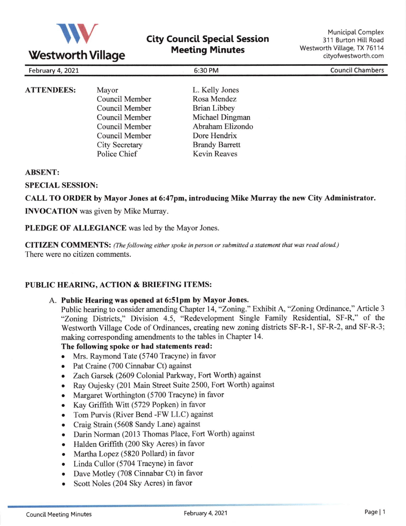

# **City Council Special Session Meeting Minutes**

| February 4, 2021  |                | 6:30 PM             | <b>Council Chambers</b> |
|-------------------|----------------|---------------------|-------------------------|
| <b>ATTENDEES:</b> | Mayor          | L. Kelly Jones      |                         |
|                   | Council Member | Rosa Mendez         |                         |
|                   | Council Member | <b>Brian Libbey</b> |                         |
|                   | Council Member | Michael Dingman     |                         |
|                   | Council Member | Abraham Elizondo    |                         |

Dore Hendrix Brandy Barrett Kevin Reaves

#### ABSENT:

SPECIAL SESSION:

CALL TO ORDER by Mayor Jones at 6:47pm, introducing Mike Murray the new City Administrator.

**INVOCATION** was given by Mike Murray.

PLEDGE OF ALLEGIANCE was led by the Mayor Jones.

Council Member City Secretary Police Chief

CITIZEN COMMENTS: (The following either spoke in person or submitted a statement that was read aloud.) There were no citizen comments.

#### PUBLIC HEARING, ACTION & BRIEFING ITEMS:

#### A. Public Hearing was opened at 6:51pm by Mayor Jones.

Public hearing to consider amending Chapter 14, "Zoning." Exhibit A, "Zoning Ordinance," Article <sup>3</sup> "Zoning Districts," Division 4.5, "Redevelopment Single Family Residential, SF-R," of the Westworth Village Code of Ordinances, creating new zoning districts SF-R-I, SF-R-2, and SF-R-3; making corresponding amendments to the tables in Chapter 14.

## The following spoke or had statements read:

- o Mrs. Raymond Tate (5740 Tracyne) in favor
- Pat Craine (700 Cinnabar Ct) against
- o Zach Garsek (2609 Colonial Parkway, Fort Worth) against
- . Ray Oujesky (201 Main Street Suite 2500, Fort Worth) against
- Margaret Worthington (5700 Tracyne) in favor
- o Kay Griffrth Witt (5729 Popken) in favor
- Tom Purvis (River Bend -FW LLC) against
- . Craig Strain (5608 Sandy Lane) against
- Darin Norman (2013 Thomas Place, Fort Worth) against
- o Halden Griffrth (200 Sky Acres) in favor
- o Martha Lopez (5820 Pollard) in favor
- Linda Cullor (5704 Tracyne) in favor
- Dave Motley (708 Cinnabar Ct) in favor
- Scott Noles (204 Sky Acres) in favor